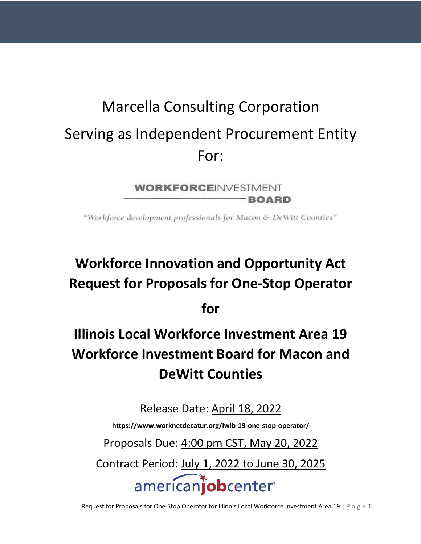# Marcella Consulting Corporation Serving as Independent Procurement Entity For:

**WORKFORCEINVESTMENT BOARD** 

"Workforce development professionals for Macon & DeWitt Counties"

## **Workforce Innovation and Opportunity Act Request for Proposals for One-Stop Operator**

**for** 

## **Illinois Local Workforce Investment Area 19 Workforce Investment Board for Macon and DeWitt Counties**

Release Date: April 18, 2022

**https://www.worknetdecatur.org/lwib-19-one-stop-operator/**

Proposals Due: 4:00 pm CST, May 20, 2022

Contract Period: July 1, 2022 to June 30, 2025

americaniobcenter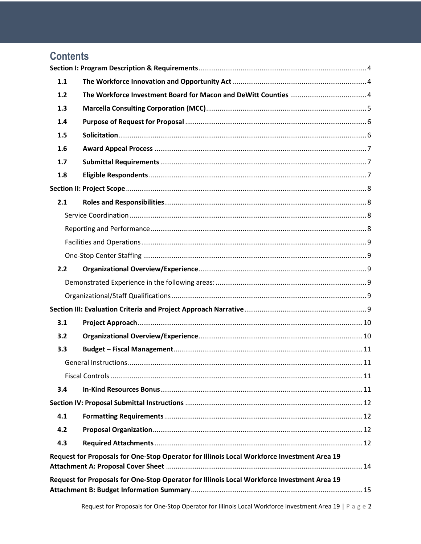| <b>Contents</b> |                                                                                             |  |
|-----------------|---------------------------------------------------------------------------------------------|--|
|                 |                                                                                             |  |
| 1.1             |                                                                                             |  |
| 1.2             |                                                                                             |  |
| 1.3             |                                                                                             |  |
| 1.4             |                                                                                             |  |
| 1.5             |                                                                                             |  |
| 1.6             |                                                                                             |  |
| 1.7             |                                                                                             |  |
| 1.8             |                                                                                             |  |
|                 |                                                                                             |  |
| 2.1             |                                                                                             |  |
|                 |                                                                                             |  |
|                 |                                                                                             |  |
|                 |                                                                                             |  |
|                 |                                                                                             |  |
| 2.2             |                                                                                             |  |
|                 |                                                                                             |  |
|                 |                                                                                             |  |
|                 |                                                                                             |  |
| 3.1             |                                                                                             |  |
| 3.2             |                                                                                             |  |
| 3.3             |                                                                                             |  |
|                 |                                                                                             |  |
|                 |                                                                                             |  |
| 3.4             |                                                                                             |  |
|                 |                                                                                             |  |
| 4.1             |                                                                                             |  |
| 4.2             |                                                                                             |  |
| 4.3             |                                                                                             |  |
|                 | Request for Proposals for One-Stop Operator for Illinois Local Workforce Investment Area 19 |  |
|                 | Request for Proposals for One-Stop Operator for Illinois Local Workforce Investment Area 19 |  |
|                 |                                                                                             |  |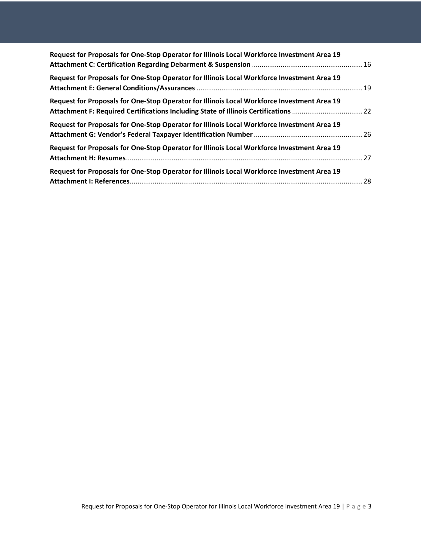| Request for Proposals for One-Stop Operator for Illinois Local Workforce Investment Area 19 |  |
|---------------------------------------------------------------------------------------------|--|
| Request for Proposals for One-Stop Operator for Illinois Local Workforce Investment Area 19 |  |
| Request for Proposals for One-Stop Operator for Illinois Local Workforce Investment Area 19 |  |
| Request for Proposals for One-Stop Operator for Illinois Local Workforce Investment Area 19 |  |
| Request for Proposals for One-Stop Operator for Illinois Local Workforce Investment Area 19 |  |
| Request for Proposals for One-Stop Operator for Illinois Local Workforce Investment Area 19 |  |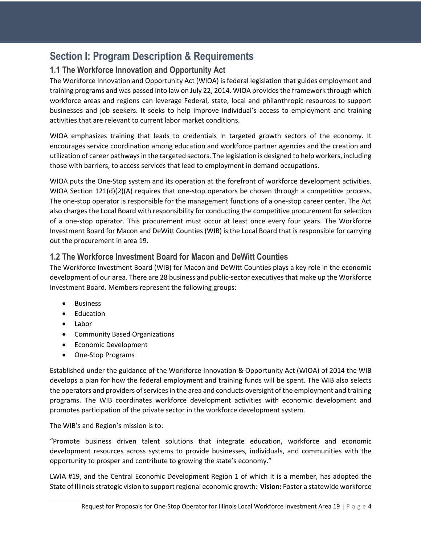## **Section I: Program Description & Requirements**

#### **1.1 The Workforce Innovation and Opportunity Act**

The Workforce Innovation and Opportunity Act (WIOA) is federal legislation that guides employment and training programs and was passed into law on July 22, 2014. WIOA provides the framework through which workforce areas and regions can leverage Federal, state, local and philanthropic resources to support businesses and job seekers. It seeks to help improve individual's access to employment and training activities that are relevant to current labor market conditions.

WIOA emphasizes training that leads to credentials in targeted growth sectors of the economy. It encourages service coordination among education and workforce partner agencies and the creation and utilization of career pathways in the targeted sectors. The legislation is designed to help workers, including those with barriers, to access services that lead to employment in demand occupations.

WIOA puts the One-Stop system and its operation at the forefront of workforce development activities. WIOA Section 121(d)(2)(A) requires that one-stop operators be chosen through a competitive process. The one-stop operator is responsible for the management functions of a one-stop career center. The Act also charges the Local Board with responsibility for conducting the competitive procurement for selection of a one-stop operator. This procurement must occur at least once every four years. The Workforce Investment Board for Macon and DeWitt Counties (WIB) is the Local Board that is responsible for carrying out the procurement in area 19.

#### **1.2 The Workforce Investment Board for Macon and DeWitt Counties**

The Workforce Investment Board (WIB) for Macon and DeWitt Counties plays a key role in the economic development of our area. There are 28 business and public-sector executives that make up the Workforce Investment Board. Members represent the following groups:

- Business
- Education
- Labor
- Community Based Organizations
- Economic Development
- One-Stop Programs

Established under the guidance of the Workforce Innovation & Opportunity Act (WIOA) of 2014 the WIB develops a plan for how the federal employment and training funds will be spent. The WIB also selects the operators and providers of services in the area and conducts oversight of the employment and training programs. The WIB coordinates workforce development activities with economic development and promotes participation of the private sector in the workforce development system.

#### The WIB's and Region's mission is to:

"Promote business driven talent solutions that integrate education, workforce and economic development resources across systems to provide businesses, individuals, and communities with the opportunity to prosper and contribute to growing the state's economy."

LWIA #19, and the Central Economic Development Region 1 of which it is a member, has adopted the State of Illinois strategic vision to support regional economic growth: **Vision:** Foster a statewide workforce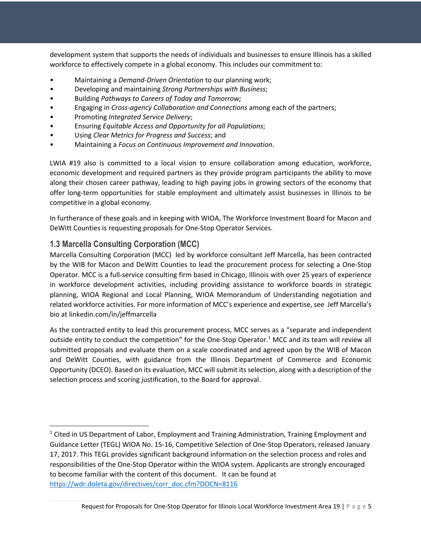development system that supports the needs of individuals and businesses to ensure Illinois has a skilled workforce to effectively compete in a global economy. This includes our commitment to:

- Maintaining a *Demand-Driven Orientation* to our planning work;
- Developing and maintaining *Strong Partnerships with Business*;
- Building *Pathways to Careers of Today and Tomorrow;*
- Engaging in *Cross-agency Collaboration and Connections* among each of the partners;
- Promoting *Integrated Service Delivery*;
- Ensuring *Equitable Access and Opportunity for all Populations*;
- Using *Clear Metrics for Progress and Success*; and
- Maintaining a *Focus on Continuous Improvement and Innovation*.

LWIA #19 also is committed to a local vision to ensure collaboration among education, workforce, economic development and required partners as they provide program participants the ability to move along their chosen career pathway, leading to high paying jobs in growing sectors of the economy that offer long-term opportunities for stable employment and ultimately assist businesses in Illinois to be competitive in a global economy.

In furtherance of these goals and in keeping with WIOA, The Workforce Investment Board for Macon and DeWitt Counties is requesting proposals for One-Stop Operator Services.

#### **1.3 Marcella Consulting Corporation (MCC)**

Marcella Consulting Corporation (MCC) led by workforce consultant Jeff Marcella, has been contracted by the WIB for Macon and DeWitt Counties to lead the procurement process for selecting a One-Stop Operator. MCC is a full-service consulting firm based in Chicago, Illinois with over 25 years of experience in workforce development activities, including providing assistance to workforce boards in strategic planning, WIOA Regional and Local Planning, WIOA Memorandum of Understanding negotiation and related workforce activities. For more information of MCC's experience and expertise, see Jeff Marcella's bio at linkedin.com/in/jeffmarcella

As the contracted entity to lead this procurement process, MCC serves as a "separate and independent outside entity to conduct the competition" for the One-Stop Operator.<sup>1</sup> MCC and its team will review all submitted proposals and evaluate them on a scale coordinated and agreed upon by the WIB of Macon and DeWitt Counties, with guidance from the Illinois Department of Commerce and Economic Opportunity (DCEO). Based on its evaluation, MCC will submit its selection, along with a description of the selection process and scoring justification, to the Board for approval.

<sup>&</sup>lt;sup>1</sup> Cited in US Department of Labor, Employment and Training Administration, Training Employment and Guidance Letter (TEGL) WIOA No. 15-16, Competitive Selection of One-Stop Operators, released January 17, 2017. This TEGL provides significant background information on the selection process and roles and responsibilities of the One-Stop Operator within the WIOA system. Applicants are strongly encouraged to become familiar with the content of this document. It can be found at https://wdr.doleta.gov/directives/corr\_doc.cfm?DOCN=8116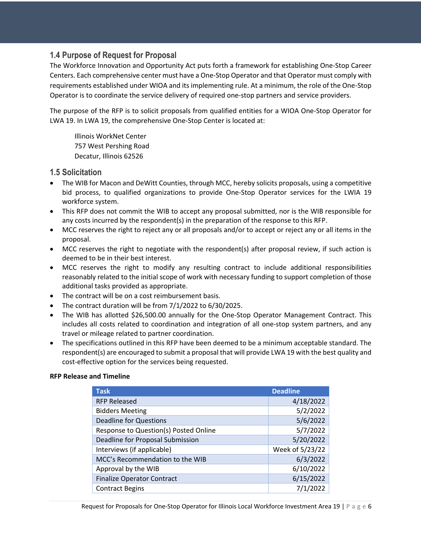#### **1.4 Purpose of Request for Proposal**

The Workforce Innovation and Opportunity Act puts forth a framework for establishing One-Stop Career Centers. Each comprehensive center must have a One-Stop Operator and that Operator must comply with requirements established under WIOA and its implementing rule. At a minimum, the role of the One-Stop Operator is to coordinate the service delivery of required one-stop partners and service providers.

The purpose of the RFP is to solicit proposals from qualified entities for a WIOA One-Stop Operator for LWA 19. In LWA 19, the comprehensive One-Stop Center is located at:

Illinois WorkNet Center 757 West Pershing Road Decatur, Illinois 62526

#### **1.5 Solicitation**

- The WIB for Macon and DeWitt Counties, through MCC, hereby solicits proposals, using a competitive bid process, to qualified organizations to provide One-Stop Operator services for the LWIA 19 workforce system.
- This RFP does not commit the WIB to accept any proposal submitted, nor is the WIB responsible for any costs incurred by the respondent(s) in the preparation of the response to this RFP.
- MCC reserves the right to reject any or all proposals and/or to accept or reject any or all items in the proposal.
- MCC reserves the right to negotiate with the respondent(s) after proposal review, if such action is deemed to be in their best interest.
- MCC reserves the right to modify any resulting contract to include additional responsibilities reasonably related to the initial scope of work with necessary funding to support completion of those additional tasks provided as appropriate.
- The contract will be on a cost reimbursement basis.
- The contract duration will be from  $7/1/2022$  to  $6/30/2025$ .
- The WIB has allotted \$26,500.00 annually for the One-Stop Operator Management Contract. This includes all costs related to coordination and integration of all one-stop system partners, and any travel or mileage related to partner coordination.
- The specifications outlined in this RFP have been deemed to be a minimum acceptable standard. The respondent(s) are encouraged to submit a proposal that will provide LWA 19 with the best quality and cost-effective option for the services being requested.

#### **RFP Release and Timeline**

| <b>Task</b>                           | <b>Deadline</b> |
|---------------------------------------|-----------------|
| <b>RFP Released</b>                   | 4/18/2022       |
| <b>Bidders Meeting</b>                | 5/2/2022        |
| <b>Deadline for Questions</b>         | 5/6/2022        |
| Response to Question(s) Posted Online | 5/7/2022        |
| Deadline for Proposal Submission      | 5/20/2022       |
| Interviews (if applicable)            | Week of 5/23/22 |
| MCC's Recommendation to the WIB       | 6/3/2022        |
| Approval by the WIB                   | 6/10/2022       |
| <b>Finalize Operator Contract</b>     | 6/15/2022       |
| <b>Contract Begins</b>                | 7/1/2022        |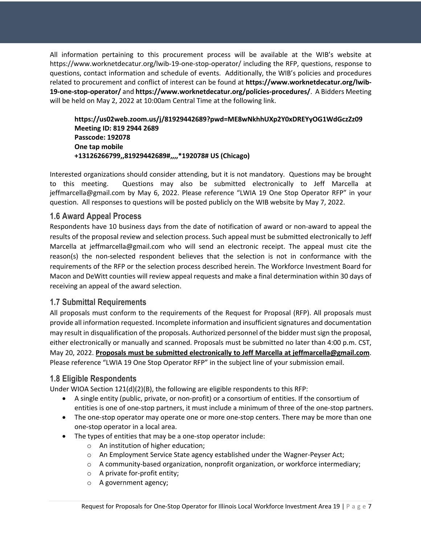All information pertaining to this procurement process will be available at the WIB's website at https://www.worknetdecatur.org/lwib-19-one-stop-operator/ including the RFP, questions, response to questions, contact information and schedule of events. Additionally, the WIB's policies and procedures related to procurement and conflict of interest can be found at **https://www.worknetdecatur.org/lwib-19-one-stop-operator/** and **https://www.worknetdecatur.org/policies-procedures/**. A Bidders Meeting will be held on May 2, 2022 at 10:00am Central Time at the following link.

**https://us02web.zoom.us/j/81929442689?pwd=ME8wNkhhUXp2Y0xDREYyOG1WdGczZz09 Meeting ID: 819 2944 2689 Passcode: 192078 One tap mobile +13126266799,,81929442689#,,,,\*192078# US (Chicago)**

Interested organizations should consider attending, but it is not mandatory. Questions may be brought to this meeting. Questions may also be submitted electronically to Jeff Marcella at jeffmarcella@gmail.com by May 6, 2022. Please reference "LWIA 19 One Stop Operator RFP" in your question. All responses to questions will be posted publicly on the WIB website by May 7, 2022.

#### **1.6 Award Appeal Process**

Respondents have 10 business days from the date of notification of award or non-award to appeal the results of the proposal review and selection process. Such appeal must be submitted electronically to Jeff Marcella at jeffmarcella@gmail.com who will send an electronic receipt. The appeal must cite the reason(s) the non-selected respondent believes that the selection is not in conformance with the requirements of the RFP or the selection process described herein. The Workforce Investment Board for Macon and DeWitt counties will review appeal requests and make a final determination within 30 days of receiving an appeal of the award selection.

#### **1.7 Submittal Requirements**

All proposals must conform to the requirements of the Request for Proposal (RFP). All proposals must provide all information requested. Incomplete information and insufficient signatures and documentation may result in disqualification of the proposals. Authorized personnel of the bidder must sign the proposal, either electronically or manually and scanned. Proposals must be submitted no later than 4:00 p.m. CST, May 20, 2022. **Proposals must be submitted electronically to Jeff Marcella at jeffmarcella@gmail.com**. Please reference "LWIA 19 One Stop Operator RFP" in the subject line of your submission email.

#### **1.8 Eligible Respondents**

Under WIOA Section 121(d)(2)(B), the following are eligible respondents to this RFP:

- A single entity (public, private, or non-profit) or a consortium of entities. If the consortium of entities is one of one-stop partners, it must include a minimum of three of the one-stop partners.
- The one-stop operator may operate one or more one-stop centers. There may be more than one one-stop operator in a local area.
- The types of entities that may be a one-stop operator include:
	- o An institution of higher education;
	- o An Employment Service State agency established under the Wagner-Peyser Act;
	- $\circ$  A community-based organization, nonprofit organization, or workforce intermediary;
	- o A private for-profit entity;
	- o A government agency;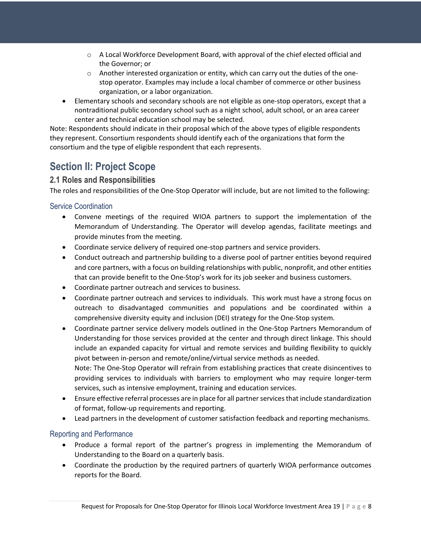- $\circ$  A Local Workforce Development Board, with approval of the chief elected official and the Governor; or
- $\circ$  Another interested organization or entity, which can carry out the duties of the onestop operator. Examples may include a local chamber of commerce or other business organization, or a labor organization.
- Elementary schools and secondary schools are not eligible as one-stop operators, except that a nontraditional public secondary school such as a night school, adult school, or an area career center and technical education school may be selected.

Note: Respondents should indicate in their proposal which of the above types of eligible respondents they represent. Consortium respondents should identify each of the organizations that form the consortium and the type of eligible respondent that each represents.

## **Section II: Project Scope**

#### **2.1 Roles and Responsibilities**

The roles and responsibilities of the One-Stop Operator will include, but are not limited to the following:

#### Service Coordination

- Convene meetings of the required WIOA partners to support the implementation of the Memorandum of Understanding. The Operator will develop agendas, facilitate meetings and provide minutes from the meeting.
- Coordinate service delivery of required one-stop partners and service providers.
- Conduct outreach and partnership building to a diverse pool of partner entities beyond required and core partners, with a focus on building relationships with public, nonprofit, and other entities that can provide benefit to the One-Stop's work for its job seeker and business customers.
- Coordinate partner outreach and services to business.
- Coordinate partner outreach and services to individuals. This work must have a strong focus on outreach to disadvantaged communities and populations and be coordinated within a comprehensive diversity equity and inclusion (DEI) strategy for the One-Stop system.
- Coordinate partner service delivery models outlined in the One-Stop Partners Memorandum of Understanding for those services provided at the center and through direct linkage. This should include an expanded capacity for virtual and remote services and building flexibility to quickly pivot between in-person and remote/online/virtual service methods as needed. Note: The One-Stop Operator will refrain from establishing practices that create disincentives to

providing services to individuals with barriers to employment who may require longer-term services, such as intensive employment, training and education services.

- Ensure effective referral processes are in place for all partner services that include standardization of format, follow-up requirements and reporting.
- Lead partners in the development of customer satisfaction feedback and reporting mechanisms.

#### Reporting and Performance

- Produce a formal report of the partner's progress in implementing the Memorandum of Understanding to the Board on a quarterly basis.
- Coordinate the production by the required partners of quarterly WIOA performance outcomes reports for the Board.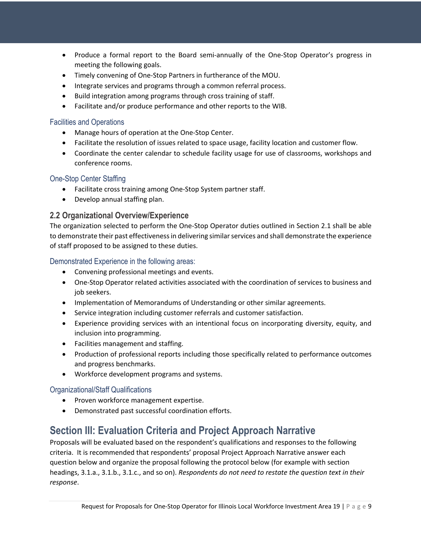- Produce a formal report to the Board semi-annually of the One-Stop Operator's progress in meeting the following goals.
- Timely convening of One-Stop Partners in furtherance of the MOU.
- Integrate services and programs through a common referral process.
- Build integration among programs through cross training of staff.
- Facilitate and/or produce performance and other reports to the WIB.

#### Facilities and Operations

- Manage hours of operation at the One-Stop Center.
- Facilitate the resolution of issues related to space usage, facility location and customer flow.
- Coordinate the center calendar to schedule facility usage for use of classrooms, workshops and conference rooms.

#### One-Stop Center Staffing

- Facilitate cross training among One-Stop System partner staff.
- Develop annual staffing plan.

#### **2.2 Organizational Overview/Experience**

The organization selected to perform the One-Stop Operator duties outlined in Section 2.1 shall be able to demonstrate their past effectiveness in delivering similar services and shall demonstrate the experience of staff proposed to be assigned to these duties.

#### Demonstrated Experience in the following areas:

- Convening professional meetings and events.
- One-Stop Operator related activities associated with the coordination of services to business and job seekers.
- Implementation of Memorandums of Understanding or other similar agreements.
- Service integration including customer referrals and customer satisfaction.
- Experience providing services with an intentional focus on incorporating diversity, equity, and inclusion into programming.
- Facilities management and staffing.
- Production of professional reports including those specifically related to performance outcomes and progress benchmarks.
- Workforce development programs and systems.

#### Organizational/Staff Qualifications

- Proven workforce management expertise.
- Demonstrated past successful coordination efforts.

## **Section III: Evaluation Criteria and Project Approach Narrative**

Proposals will be evaluated based on the respondent's qualifications and responses to the following criteria. It is recommended that respondents' proposal Project Approach Narrative answer each question below and organize the proposal following the protocol below (for example with section headings, 3.1.a., 3.1.b., 3.1.c., and so on). *Respondents do not need to restate the question text in their response*.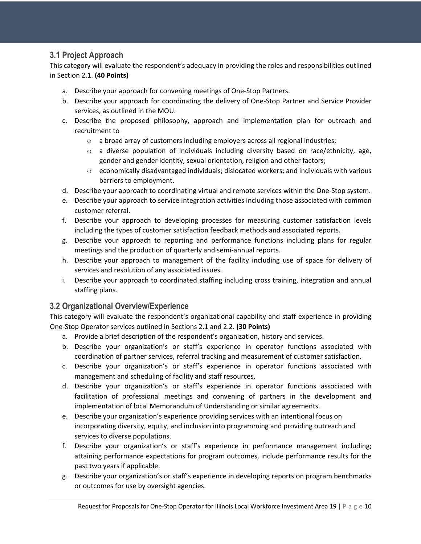#### **3.1 Project Approach**

This category will evaluate the respondent's adequacy in providing the roles and responsibilities outlined in Section 2.1. **(40 Points)**

- a. Describe your approach for convening meetings of One-Stop Partners.
- b. Describe your approach for coordinating the delivery of One-Stop Partner and Service Provider services, as outlined in the MOU.
- c. Describe the proposed philosophy, approach and implementation plan for outreach and recruitment to
	- $\circ$  a broad array of customers including employers across all regional industries;
	- $\circ$  a diverse population of individuals including diversity based on race/ethnicity, age, gender and gender identity, sexual orientation, religion and other factors;
	- $\circ$  economically disadvantaged individuals; dislocated workers; and individuals with various barriers to employment.
- d. Describe your approach to coordinating virtual and remote services within the One-Stop system.
- e. Describe your approach to service integration activities including those associated with common customer referral.
- f. Describe your approach to developing processes for measuring customer satisfaction levels including the types of customer satisfaction feedback methods and associated reports.
- g. Describe your approach to reporting and performance functions including plans for regular meetings and the production of quarterly and semi-annual reports.
- h. Describe your approach to management of the facility including use of space for delivery of services and resolution of any associated issues.
- i. Describe your approach to coordinated staffing including cross training, integration and annual staffing plans.

#### **3.2 Organizational Overview/Experience**

This category will evaluate the respondent's organizational capability and staff experience in providing One-Stop Operator services outlined in Sections 2.1 and 2.2. **(30 Points)**

- a. Provide a brief description of the respondent's organization, history and services.
- b. Describe your organization's or staff's experience in operator functions associated with coordination of partner services, referral tracking and measurement of customer satisfaction.
- c. Describe your organization's or staff's experience in operator functions associated with management and scheduling of facility and staff resources.
- d. Describe your organization's or staff's experience in operator functions associated with facilitation of professional meetings and convening of partners in the development and implementation of local Memorandum of Understanding or similar agreements.
- e. Describe your organization's experience providing services with an intentional focus on incorporating diversity, equity, and inclusion into programming and providing outreach and services to diverse populations.
- f. Describe your organization's or staff's experience in performance management including; attaining performance expectations for program outcomes, include performance results for the past two years if applicable.
- g. Describe your organization's or staff's experience in developing reports on program benchmarks or outcomes for use by oversight agencies.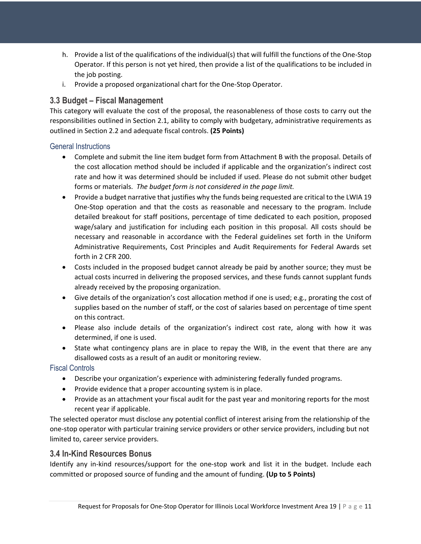- h. Provide a list of the qualifications of the individual(s) that will fulfill the functions of the One-Stop Operator. If this person is not yet hired, then provide a list of the qualifications to be included in the job posting.
- i. Provide a proposed organizational chart for the One-Stop Operator.

#### **3.3 Budget – Fiscal Management**

This category will evaluate the cost of the proposal, the reasonableness of those costs to carry out the responsibilities outlined in Section 2.1, ability to comply with budgetary, administrative requirements as outlined in Section 2.2 and adequate fiscal controls. **(25 Points)**

#### General Instructions

- Complete and submit the line item budget form from Attachment B with the proposal. Details of the cost allocation method should be included if applicable and the organization's indirect cost rate and how it was determined should be included if used. Please do not submit other budget forms or materials. *The budget form is not considered in the page limit.*
- Provide a budget narrative that justifies why the funds being requested are critical to the LWIA 19 One-Stop operation and that the costs as reasonable and necessary to the program. Include detailed breakout for staff positions, percentage of time dedicated to each position, proposed wage/salary and justification for including each position in this proposal. All costs should be necessary and reasonable in accordance with the Federal guidelines set forth in the Uniform Administrative Requirements, Cost Principles and Audit Requirements for Federal Awards set forth in 2 CFR 200.
- Costs included in the proposed budget cannot already be paid by another source; they must be actual costs incurred in delivering the proposed services, and these funds cannot supplant funds already received by the proposing organization.
- Give details of the organization's cost allocation method if one is used; e.g., prorating the cost of supplies based on the number of staff, or the cost of salaries based on percentage of time spent on this contract.
- Please also include details of the organization's indirect cost rate, along with how it was determined, if one is used.
- State what contingency plans are in place to repay the WIB, in the event that there are any disallowed costs as a result of an audit or monitoring review.

Fiscal Controls

- Describe your organization's experience with administering federally funded programs.
- Provide evidence that a proper accounting system is in place.
- Provide as an attachment your fiscal audit for the past year and monitoring reports for the most recent year if applicable.

The selected operator must disclose any potential conflict of interest arising from the relationship of the one-stop operator with particular training service providers or other service providers, including but not limited to, career service providers.

#### **3.4 In-Kind Resources Bonus**

Identify any in-kind resources/support for the one-stop work and list it in the budget. Include each committed or proposed source of funding and the amount of funding. **(Up to 5 Points)**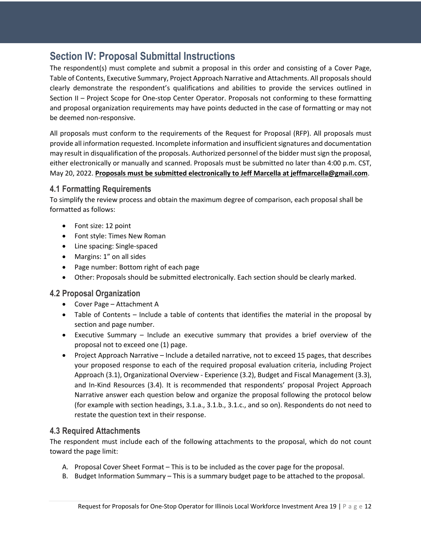### **Section IV: Proposal Submittal Instructions**

The respondent(s) must complete and submit a proposal in this order and consisting of a Cover Page, Table of Contents, Executive Summary, Project Approach Narrative and Attachments. All proposals should clearly demonstrate the respondent's qualifications and abilities to provide the services outlined in Section II – Project Scope for One-stop Center Operator. Proposals not conforming to these formatting and proposal organization requirements may have points deducted in the case of formatting or may not be deemed non-responsive.

All proposals must conform to the requirements of the Request for Proposal (RFP). All proposals must provide all information requested. Incomplete information and insufficient signatures and documentation may result in disqualification of the proposals. Authorized personnel of the bidder must sign the proposal, either electronically or manually and scanned. Proposals must be submitted no later than 4:00 p.m. CST, May 20, 2022. **Proposals must be submitted electronically to Jeff Marcella at jeffmarcella@gmail.com**.

#### **4.1 Formatting Requirements**

To simplify the review process and obtain the maximum degree of comparison, each proposal shall be formatted as follows:

- Font size: 12 point
- Font style: Times New Roman
- Line spacing: Single-spaced
- Margins: 1" on all sides
- Page number: Bottom right of each page
- Other: Proposals should be submitted electronically. Each section should be clearly marked.

#### **4.2 Proposal Organization**

- Cover Page Attachment A
- Table of Contents Include a table of contents that identifies the material in the proposal by section and page number.
- Executive Summary Include an executive summary that provides a brief overview of the proposal not to exceed one (1) page.
- Project Approach Narrative Include a detailed narrative, not to exceed 15 pages, that describes your proposed response to each of the required proposal evaluation criteria, including Project Approach (3.1), Organizational Overview - Experience (3.2), Budget and Fiscal Management (3.3), and In-Kind Resources (3.4). It is recommended that respondents' proposal Project Approach Narrative answer each question below and organize the proposal following the protocol below (for example with section headings, 3.1.a., 3.1.b., 3.1.c., and so on). Respondents do not need to restate the question text in their response.

#### **4.3 Required Attachments**

The respondent must include each of the following attachments to the proposal, which do not count toward the page limit:

- A. Proposal Cover Sheet Format This is to be included as the cover page for the proposal.
- B. Budget Information Summary This is a summary budget page to be attached to the proposal.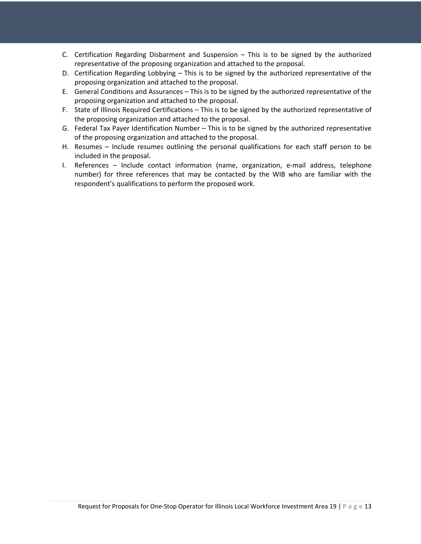- C. Certification Regarding Disbarment and Suspension This is to be signed by the authorized representative of the proposing organization and attached to the proposal.
- D. Certification Regarding Lobbying This is to be signed by the authorized representative of the proposing organization and attached to the proposal.
- E. General Conditions and Assurances This is to be signed by the authorized representative of the proposing organization and attached to the proposal.
- F. State of Illinois Required Certifications This is to be signed by the authorized representative of the proposing organization and attached to the proposal.
- G. Federal Tax Payer Identification Number This is to be signed by the authorized representative of the proposing organization and attached to the proposal.
- H. Resumes Include resumes outlining the personal qualifications for each staff person to be included in the proposal.
- I. References Include contact information (name, organization, e-mail address, telephone number) for three references that may be contacted by the WIB who are familiar with the respondent's qualifications to perform the proposed work.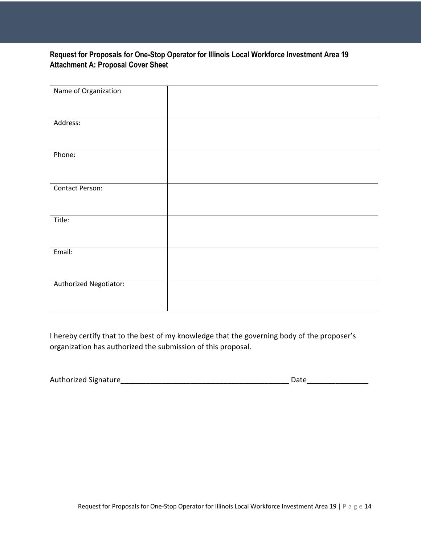#### **Request for Proposals for One-Stop Operator for Illinois Local Workforce Investment Area 19 Attachment A: Proposal Cover Sheet**

| Name of Organization   |  |
|------------------------|--|
|                        |  |
|                        |  |
|                        |  |
| Address:               |  |
|                        |  |
|                        |  |
| Phone:                 |  |
|                        |  |
|                        |  |
|                        |  |
| Contact Person:        |  |
|                        |  |
|                        |  |
| Title:                 |  |
|                        |  |
|                        |  |
| Email:                 |  |
|                        |  |
|                        |  |
|                        |  |
| Authorized Negotiator: |  |
|                        |  |
|                        |  |

I hereby certify that to the best of my knowledge that the governing body of the proposer's organization has authorized the submission of this proposal.

| <b>Authorized Signature</b> | Date |
|-----------------------------|------|
|-----------------------------|------|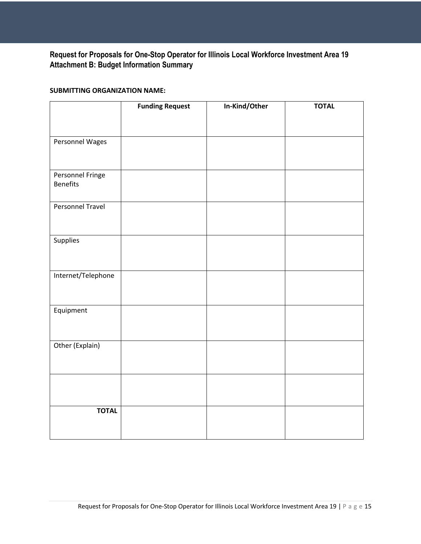#### **Request for Proposals for One-Stop Operator for Illinois Local Workforce Investment Area 19 Attachment B: Budget Information Summary**

#### **SUBMITTING ORGANIZATION NAME:**

|                    | <b>Funding Request</b> | In-Kind/Other | <b>TOTAL</b> |
|--------------------|------------------------|---------------|--------------|
|                    |                        |               |              |
|                    |                        |               |              |
| Personnel Wages    |                        |               |              |
|                    |                        |               |              |
| Personnel Fringe   |                        |               |              |
| <b>Benefits</b>    |                        |               |              |
| Personnel Travel   |                        |               |              |
|                    |                        |               |              |
|                    |                        |               |              |
| Supplies           |                        |               |              |
|                    |                        |               |              |
| Internet/Telephone |                        |               |              |
|                    |                        |               |              |
|                    |                        |               |              |
| Equipment          |                        |               |              |
|                    |                        |               |              |
|                    |                        |               |              |
| Other (Explain)    |                        |               |              |
|                    |                        |               |              |
|                    |                        |               |              |
|                    |                        |               |              |
| <b>TOTAL</b>       |                        |               |              |
|                    |                        |               |              |
|                    |                        |               |              |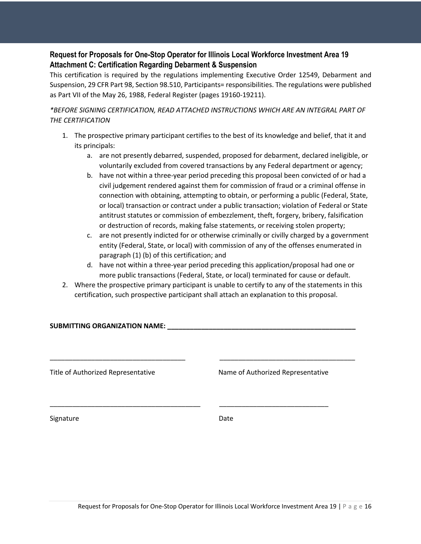#### **Request for Proposals for One-Stop Operator for Illinois Local Workforce Investment Area 19 Attachment C: Certification Regarding Debarment & Suspension**

This certification is required by the regulations implementing Executive Order 12549, Debarment and Suspension, 29 CFR Part 98, Section 98.510, Participants= responsibilities. The regulations were published as Part VII of the May 26, 1988, Federal Register (pages 19160-19211).

*\*BEFORE SIGNING CERTIFICATION, READ ATTACHED INSTRUCTIONS WHICH ARE AN INTEGRAL PART OF THE CERTIFICATION*

- 1. The prospective primary participant certifies to the best of its knowledge and belief, that it and its principals:
	- a. are not presently debarred, suspended, proposed for debarment, declared ineligible, or voluntarily excluded from covered transactions by any Federal department or agency;
	- b. have not within a three-year period preceding this proposal been convicted of or had a civil judgement rendered against them for commission of fraud or a criminal offense in connection with obtaining, attempting to obtain, or performing a public (Federal, State, or local) transaction or contract under a public transaction; violation of Federal or State antitrust statutes or commission of embezzlement, theft, forgery, bribery, falsification or destruction of records, making false statements, or receiving stolen property;
	- c. are not presently indicted for or otherwise criminally or civilly charged by a government entity (Federal, State, or local) with commission of any of the offenses enumerated in paragraph (1) (b) of this certification; and
	- d. have not within a three-year period preceding this application/proposal had one or more public transactions (Federal, State, or local) terminated for cause or default.
- 2. Where the prospective primary participant is unable to certify to any of the statements in this certification, such prospective participant shall attach an explanation to this proposal.

\_\_\_\_\_\_\_\_\_\_\_\_\_\_\_\_\_\_\_\_\_\_\_\_\_\_\_\_\_\_\_\_\_\_\_\_ \_\_\_\_\_\_\_\_\_\_\_\_\_\_\_\_\_\_\_\_\_\_\_\_\_\_\_\_\_\_\_\_\_\_\_\_

\_\_\_\_\_\_\_\_\_\_\_\_\_\_\_\_\_\_\_\_\_\_\_\_\_\_\_\_\_\_\_\_\_\_\_\_\_\_\_\_ \_\_\_\_\_\_\_\_\_\_\_\_\_\_\_\_\_\_\_\_\_\_\_\_\_\_\_\_\_

#### **SUBMITTING ORGANIZATION NAME: \_\_\_\_\_\_\_\_\_\_\_\_\_\_\_\_\_\_\_\_\_\_\_\_\_\_\_\_\_\_\_\_\_\_\_\_\_\_\_\_\_\_\_\_\_\_\_\_\_\_**

Title of Authorized Representative Name of Authorized Representative

Signature Date Date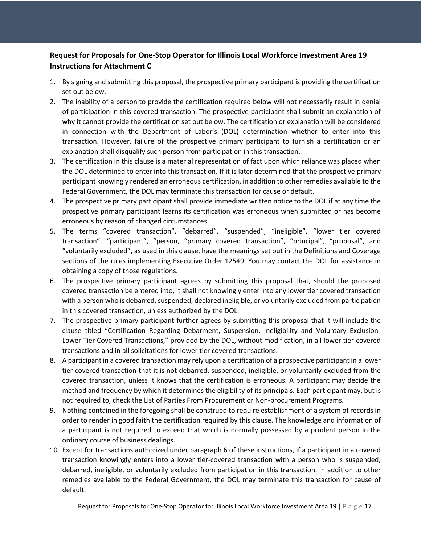#### **Request for Proposals for One-Stop Operator for Illinois Local Workforce Investment Area 19 Instructions for Attachment C**

- 1. By signing and submitting this proposal, the prospective primary participant is providing the certification set out below.
- 2. The inability of a person to provide the certification required below will not necessarily result in denial of participation in this covered transaction. The prospective participant shall submit an explanation of why it cannot provide the certification set out below. The certification or explanation will be considered in connection with the Department of Labor's (DOL) determination whether to enter into this transaction. However, failure of the prospective primary participant to furnish a certification or an explanation shall disqualify such person from participation in this transaction.
- 3. The certification in this clause is a material representation of fact upon which reliance was placed when the DOL determined to enter into this transaction. If it is later determined that the prospective primary participant knowingly rendered an erroneous certification, in addition to other remedies available to the Federal Government, the DOL may terminate this transaction for cause or default.
- 4. The prospective primary participant shall provide immediate written notice to the DOL if at any time the prospective primary participant learns its certification was erroneous when submitted or has become erroneous by reason of changed circumstances.
- 5. The terms "covered transaction", "debarred", "suspended", "ineligible", "lower tier covered transaction", "participant", "person, "primary covered transaction", "principal", "proposal", and "voluntarily excluded", as used in this clause, have the meanings set out in the Definitions and Coverage sections of the rules implementing Executive Order 12549. You may contact the DOL for assistance in obtaining a copy of those regulations.
- 6. The prospective primary participant agrees by submitting this proposal that, should the proposed covered transaction be entered into, it shall not knowingly enter into any lower tier covered transaction with a person who is debarred, suspended, declared ineligible, or voluntarily excluded from participation in this covered transaction, unless authorized by the DOL.
- 7. The prospective primary participant further agrees by submitting this proposal that it will include the clause titled "Certification Regarding Debarment, Suspension, Ineligibility and Voluntary Exclusion-Lower Tier Covered Transactions," provided by the DOL, without modification, in all lower tier-covered transactions and in all solicitations for lower tier covered transactions.
- 8. A participant in a covered transaction may rely upon a certification of a prospective participant in a lower tier covered transaction that it is not debarred, suspended, ineligible, or voluntarily excluded from the covered transaction, unless it knows that the certification is erroneous. A participant may decide the method and frequency by which it determines the eligibility of its principals. Each participant may, but is not required to, check the List of Parties From Procurement or Non-procurement Programs.
- 9. Nothing contained in the foregoing shall be construed to require establishment of a system of records in order to render in good faith the certification required by this clause. The knowledge and information of a participant is not required to exceed that which is normally possessed by a prudent person in the ordinary course of business dealings.
- 10. Except for transactions authorized under paragraph 6 of these instructions, if a participant in a covered transaction knowingly enters into a lower tier-covered transaction with a person who is suspended, debarred, ineligible, or voluntarily excluded from participation in this transaction, in addition to other remedies available to the Federal Government, the DOL may terminate this transaction for cause of default.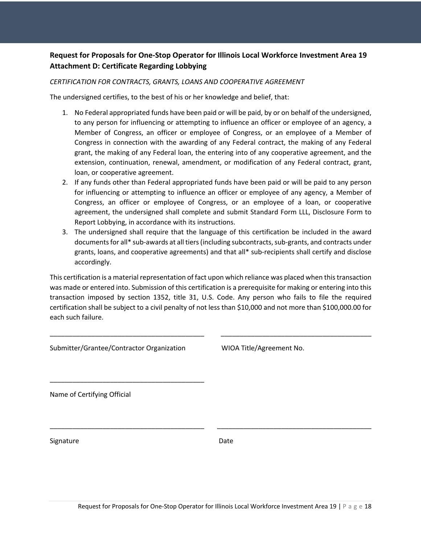#### **Request for Proposals for One-Stop Operator for Illinois Local Workforce Investment Area 19 Attachment D: Certificate Regarding Lobbying**

#### *CERTIFICATION FOR CONTRACTS, GRANTS, LOANS AND COOPERATIVE AGREEMENT*

The undersigned certifies, to the best of his or her knowledge and belief, that:

- 1. No Federal appropriated funds have been paid or will be paid, by or on behalf of the undersigned, to any person for influencing or attempting to influence an officer or employee of an agency, a Member of Congress, an officer or employee of Congress, or an employee of a Member of Congress in connection with the awarding of any Federal contract, the making of any Federal grant, the making of any Federal loan, the entering into of any cooperative agreement, and the extension, continuation, renewal, amendment, or modification of any Federal contract, grant, loan, or cooperative agreement.
- 2. If any funds other than Federal appropriated funds have been paid or will be paid to any person for influencing or attempting to influence an officer or employee of any agency, a Member of Congress, an officer or employee of Congress, or an employee of a loan, or cooperative agreement, the undersigned shall complete and submit Standard Form LLL, Disclosure Form to Report Lobbying, in accordance with its instructions.
- 3. The undersigned shall require that the language of this certification be included in the award documents for all\* sub-awards at all tiers (including subcontracts, sub-grants, and contracts under grants, loans, and cooperative agreements) and that all\* sub-recipients shall certify and disclose accordingly.

This certification is a material representation of fact upon which reliance was placed when this transaction was made or entered into. Submission of this certification is a prerequisite for making or entering into this transaction imposed by section 1352, title 31, U.S. Code. Any person who fails to file the required certification shall be subject to a civil penalty of not less than \$10,000 and not more than \$100,000.00 for each such failure.

| Submitter/Grantee/Contractor Organization | WIOA Title/Agreement No. |  |
|-------------------------------------------|--------------------------|--|
| Name of Certifying Official               |                          |  |
|                                           |                          |  |
| Signature                                 | Date                     |  |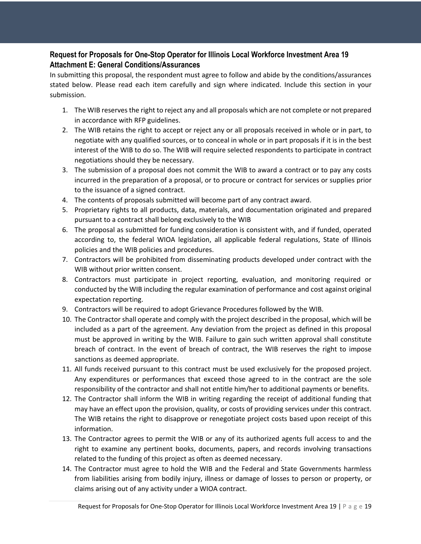#### **Request for Proposals for One-Stop Operator for Illinois Local Workforce Investment Area 19 Attachment E: General Conditions/Assurances**

In submitting this proposal, the respondent must agree to follow and abide by the conditions/assurances stated below. Please read each item carefully and sign where indicated. Include this section in your submission.

- 1. The WIB reserves the right to reject any and all proposals which are not complete or not prepared in accordance with RFP guidelines.
- 2. The WIB retains the right to accept or reject any or all proposals received in whole or in part, to negotiate with any qualified sources, or to conceal in whole or in part proposals if it is in the best interest of the WIB to do so. The WIB will require selected respondents to participate in contract negotiations should they be necessary.
- 3. The submission of a proposal does not commit the WIB to award a contract or to pay any costs incurred in the preparation of a proposal, or to procure or contract for services or supplies prior to the issuance of a signed contract.
- 4. The contents of proposals submitted will become part of any contract award.
- 5. Proprietary rights to all products, data, materials, and documentation originated and prepared pursuant to a contract shall belong exclusively to the WIB
- 6. The proposal as submitted for funding consideration is consistent with, and if funded, operated according to, the federal WIOA legislation, all applicable federal regulations, State of Illinois policies and the WIB policies and procedures.
- 7. Contractors will be prohibited from disseminating products developed under contract with the WIB without prior written consent.
- 8. Contractors must participate in project reporting, evaluation, and monitoring required or conducted by the WIB including the regular examination of performance and cost against original expectation reporting.
- 9. Contractors will be required to adopt Grievance Procedures followed by the WIB.
- 10. The Contractor shall operate and comply with the project described in the proposal, which will be included as a part of the agreement. Any deviation from the project as defined in this proposal must be approved in writing by the WIB. Failure to gain such written approval shall constitute breach of contract. In the event of breach of contract, the WIB reserves the right to impose sanctions as deemed appropriate.
- 11. All funds received pursuant to this contract must be used exclusively for the proposed project. Any expenditures or performances that exceed those agreed to in the contract are the sole responsibility of the contractor and shall not entitle him/her to additional payments or benefits.
- 12. The Contractor shall inform the WIB in writing regarding the receipt of additional funding that may have an effect upon the provision, quality, or costs of providing services under this contract. The WIB retains the right to disapprove or renegotiate project costs based upon receipt of this information.
- 13. The Contractor agrees to permit the WIB or any of its authorized agents full access to and the right to examine any pertinent books, documents, papers, and records involving transactions related to the funding of this project as often as deemed necessary.
- 14. The Contractor must agree to hold the WIB and the Federal and State Governments harmless from liabilities arising from bodily injury, illness or damage of losses to person or property, or claims arising out of any activity under a WIOA contract.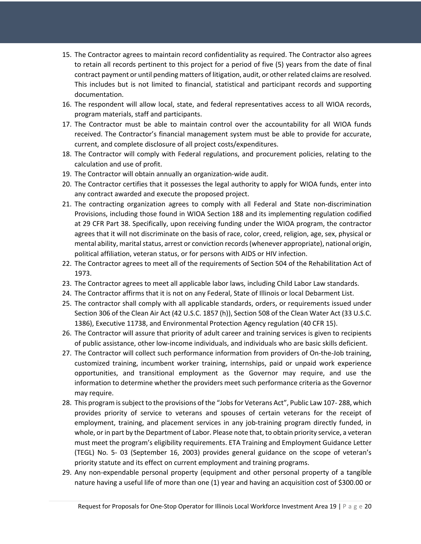- 15. The Contractor agrees to maintain record confidentiality as required. The Contractor also agrees to retain all records pertinent to this project for a period of five (5) years from the date of final contract payment or until pending matters of litigation, audit, or other related claims are resolved. This includes but is not limited to financial, statistical and participant records and supporting documentation.
- 16. The respondent will allow local, state, and federal representatives access to all WIOA records, program materials, staff and participants.
- 17. The Contractor must be able to maintain control over the accountability for all WIOA funds received. The Contractor's financial management system must be able to provide for accurate, current, and complete disclosure of all project costs/expenditures.
- 18. The Contractor will comply with Federal regulations, and procurement policies, relating to the calculation and use of profit.
- 19. The Contractor will obtain annually an organization-wide audit.
- 20. The Contractor certifies that it possesses the legal authority to apply for WIOA funds, enter into any contract awarded and execute the proposed project.
- 21. The contracting organization agrees to comply with all Federal and State non-discrimination Provisions, including those found in WIOA Section 188 and its implementing regulation codified at 29 CFR Part 38. Specifically, upon receiving funding under the WIOA program, the contractor agrees that it will not discriminate on the basis of race, color, creed, religion, age, sex, physical or mental ability, marital status, arrest or conviction records (whenever appropriate), national origin, political affiliation, veteran status, or for persons with AIDS or HIV infection.
- 22. The Contractor agrees to meet all of the requirements of Section 504 of the Rehabilitation Act of 1973.
- 23. The Contractor agrees to meet all applicable labor laws, including Child Labor Law standards.
- 24. The Contractor affirms that it is not on any Federal, State of Illinois or local Debarment List.
- 25. The contractor shall comply with all applicable standards, orders, or requirements issued under Section 306 of the Clean Air Act (42 U.S.C. 1857 (h)), Section 508 of the Clean Water Act (33 U.S.C. 1386), Executive 11738, and Environmental Protection Agency regulation (40 CFR 15).
- 26. The Contractor will assure that priority of adult career and training services is given to recipients of public assistance, other low-income individuals, and individuals who are basic skills deficient.
- 27. The Contractor will collect such performance information from providers of On-the-Job training, customized training, incumbent worker training, internships, paid or unpaid work experience opportunities, and transitional employment as the Governor may require, and use the information to determine whether the providers meet such performance criteria as the Governor may require.
- 28. This program is subject to the provisions of the "Jobsfor Veterans Act", Public Law 107- 288, which provides priority of service to veterans and spouses of certain veterans for the receipt of employment, training, and placement services in any job-training program directly funded, in whole, or in part by the Department of Labor. Please note that, to obtain priority service, a veteran must meet the program's eligibility requirements. ETA Training and Employment Guidance Letter (TEGL) No. 5- 03 (September 16, 2003) provides general guidance on the scope of veteran's priority statute and its effect on current employment and training programs.
- 29. Any non-expendable personal property (equipment and other personal property of a tangible nature having a useful life of more than one (1) year and having an acquisition cost of \$300.00 or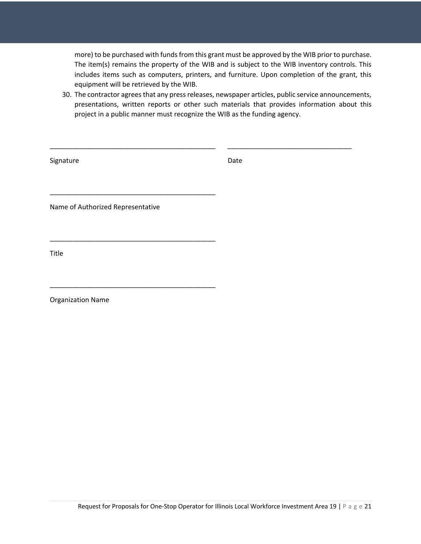more) to be purchased with funds from this grant must be approved by the WIB prior to purchase. The item(s) remains the property of the WIB and is subject to the WIB inventory controls. This includes items such as computers, printers, and furniture. Upon completion of the grant, this equipment will be retrieved by the WIB.

30. The contractor agrees that any press releases, newspaper articles, public service announcements, presentations, written reports or other such materials that provides information about this project in a public manner must recognize the WIB as the funding agency.

| Signature                         | Date |
|-----------------------------------|------|
|                                   |      |
| Name of Authorized Representative |      |
|                                   |      |
| Title                             |      |
|                                   |      |
| Organization Name                 |      |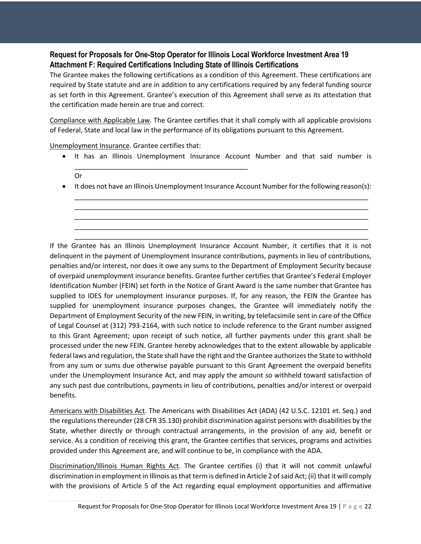#### **Request for Proposals for One-Stop Operator for Illinois Local Workforce Investment Area 19 Attachment F: Required Certifications Including State of Illinois Certifications**

The Grantee makes the following certifications as a condition of this Agreement. These certifications are required by State statute and are in addition to any certifications required by any federal funding source as set forth in this Agreement. Grantee's execution of this Agreement shall serve as its attestation that the certification made herein are true and correct.

Compliance with Applicable Law. The Grantee certifies that it shall comply with all applicable provisions of Federal, State and local law in the performance of its obligations pursuant to this Agreement.

Unemployment Insurance. Grantee certifies that:

• It has an Illinois Unemployment Insurance Account Number and that said number is \_\_\_\_\_\_\_\_\_\_\_\_\_\_\_\_\_\_\_\_\_\_\_\_\_\_\_\_\_\_\_\_\_\_\_\_\_\_\_\_\_\_\_\_\_\_

Or

• It does not have an Illinois Unemployment Insurance Account Number for the following reason(s): \_\_\_\_\_\_\_\_\_\_\_\_\_\_\_\_\_\_\_\_\_\_\_\_\_\_\_\_\_\_\_\_\_\_\_\_\_\_\_\_\_\_\_\_\_\_\_\_\_\_\_\_\_\_\_\_\_\_\_\_\_\_\_\_\_\_\_\_\_\_\_\_\_\_\_\_\_\_

\_\_\_\_\_\_\_\_\_\_\_\_\_\_\_\_\_\_\_\_\_\_\_\_\_\_\_\_\_\_\_\_\_\_\_\_\_\_\_\_\_\_\_\_\_\_\_\_\_\_\_\_\_\_\_\_\_\_\_\_\_\_\_\_\_\_\_\_\_\_\_\_\_\_\_\_\_\_ \_\_\_\_\_\_\_\_\_\_\_\_\_\_\_\_\_\_\_\_\_\_\_\_\_\_\_\_\_\_\_\_\_\_\_\_\_\_\_\_\_\_\_\_\_\_\_\_\_\_\_\_\_\_\_\_\_\_\_\_\_\_\_\_\_\_\_\_\_\_\_\_\_\_\_\_\_\_ \_\_\_\_\_\_\_\_\_\_\_\_\_\_\_\_\_\_\_\_\_\_\_\_\_\_\_\_\_\_\_\_\_\_\_\_\_\_\_\_\_\_\_\_\_\_\_\_\_\_\_\_\_\_\_\_\_\_\_\_\_\_\_\_\_\_\_\_\_\_\_\_\_\_\_\_\_\_ \_\_\_\_\_\_\_\_\_\_\_\_\_\_\_\_\_\_\_\_\_\_\_\_\_\_\_\_\_\_\_\_\_\_\_\_\_\_\_\_\_\_\_\_\_\_\_\_\_\_\_\_\_\_\_\_\_\_\_\_\_\_\_\_\_\_\_\_\_\_\_\_\_\_\_\_\_\_

If the Grantee has an Illinois Unemployment Insurance Account Number, it certifies that it is not delinquent in the payment of Unemployment Insurance contributions, payments in lieu of contributions, penalties and/or interest, nor does it owe any sums to the Department of Employment Security because of overpaid unemployment insurance benefits. Grantee further certifies that Grantee's Federal Employer Identification Number (FEIN) set forth in the Notice of Grant Award is the same number that Grantee has supplied to IDES for unemployment insurance purposes. If, for any reason, the FEIN the Grantee has supplied for unemployment insurance purposes changes, the Grantee will immediately notify the Department of Employment Security of the new FEIN, in writing, by telefacsimile sent in care of the Office of Legal Counsel at (312) 793-2164, with such notice to include reference to the Grant number assigned to this Grant Agreement; upon receipt of such notice, all further payments under this grant shall be processed under the new FEIN. Grantee hereby acknowledges that to the extent allowable by applicable federal laws and regulation, the State shall have the right and the Grantee authorizes the State to withhold from any sum or sums due otherwise payable pursuant to this Grant Agreement the overpaid benefits under the Unemployment Insurance Act, and may apply the amount so withheld toward satisfaction of any such past due contributions, payments in lieu of contributions, penalties and/or interest or overpaid benefits.

Americans with Disabilities Act. The Americans with Disabilities Act (ADA) (42 U.S.C. 12101 et. Seq.) and the regulations thereunder (28 CFR 35.130) prohibit discrimination against persons with disabilities by the State, whether directly or through contractual arrangements, in the provision of any aid, benefit or service. As a condition of receiving this grant, the Grantee certifies that services, programs and activities provided under this Agreement are, and will continue to be, in compliance with the ADA.

Discrimination/Illinois Human Rights Act. The Grantee certifies (i) that it will not commit unlawful discrimination in employment in Illinois as that term is defined in Article 2 of said Act; (ii) that it will comply with the provisions of Article 5 of the Act regarding equal employment opportunities and affirmative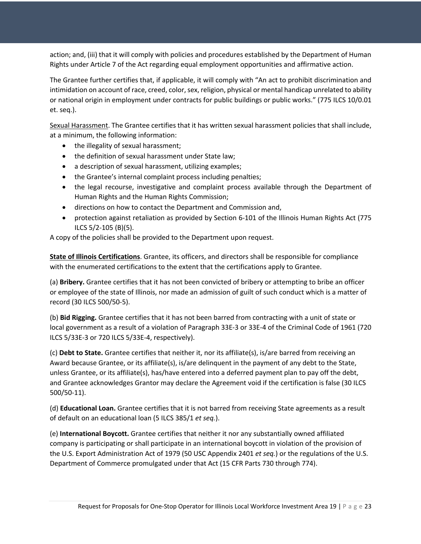action; and, (iii) that it will comply with policies and procedures established by the Department of Human Rights under Article 7 of the Act regarding equal employment opportunities and affirmative action.

The Grantee further certifies that, if applicable, it will comply with "An act to prohibit discrimination and intimidation on account of race, creed, color, sex, religion, physical or mental handicap unrelated to ability or national origin in employment under contracts for public buildings or public works." (775 ILCS 10/0.01 et. seq.).

Sexual Harassment. The Grantee certifies that it has written sexual harassment policies that shall include, at a minimum, the following information:

- the illegality of sexual harassment;
- the definition of sexual harassment under State law;
- a description of sexual harassment, utilizing examples;
- the Grantee's internal complaint process including penalties;
- the legal recourse, investigative and complaint process available through the Department of Human Rights and the Human Rights Commission;
- directions on how to contact the Department and Commission and,
- protection against retaliation as provided by Section 6-101 of the Illinois Human Rights Act (775 ILCS 5/2-105 (B)(5).

A copy of the policies shall be provided to the Department upon request.

**State of Illinois Certifications**. Grantee, its officers, and directors shall be responsible for compliance with the enumerated certifications to the extent that the certifications apply to Grantee.

(a) **Bribery.** Grantee certifies that it has not been convicted of bribery or attempting to bribe an officer or employee of the state of Illinois, nor made an admission of guilt of such conduct which is a matter of record (30 ILCS 500/50-5).

(b) **Bid Rigging.** Grantee certifies that it has not been barred from contracting with a unit of state or local government as a result of a violation of Paragraph 33E-3 or 33E-4 of the Criminal Code of 1961 (720 ILCS 5/33E-3 or 720 ILCS 5/33E-4, respectively).

(c) **Debt to State.** Grantee certifies that neither it, nor its affiliate(s), is/are barred from receiving an Award because Grantee, or its affiliate(s), is/are delinquent in the payment of any debt to the State, unless Grantee, or its affiliate(s), has/have entered into a deferred payment plan to pay off the debt, and Grantee acknowledges Grantor may declare the Agreement void if the certification is false (30 ILCS 500/50-11).

(d) **Educational Loan.** Grantee certifies that it is not barred from receiving State agreements as a result of default on an educational loan (5 ILCS 385/1 *et seq.*).

(e) **International Boycott.** Grantee certifies that neither it nor any substantially owned affiliated company is participating or shall participate in an international boycott in violation of the provision of the U.S. Export Administration Act of 1979 (50 USC Appendix 2401 *et seq.*) or the regulations of the U.S. Department of Commerce promulgated under that Act (15 CFR Parts 730 through 774).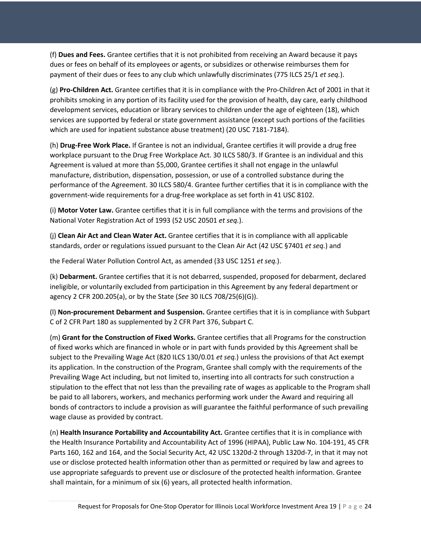(f) **Dues and Fees.** Grantee certifies that it is not prohibited from receiving an Award because it pays dues or fees on behalf of its employees or agents, or subsidizes or otherwise reimburses them for payment of their dues or fees to any club which unlawfully discriminates (775 ILCS 25/1 *et seq.*).

(g) **Pro-Children Act.** Grantee certifies that it is in compliance with the Pro-Children Act of 2001 in that it prohibits smoking in any portion of its facility used for the provision of health, day care, early childhood development services, education or library services to children under the age of eighteen (18), which services are supported by federal or state government assistance (except such portions of the facilities which are used for inpatient substance abuse treatment) (20 USC 7181-7184).

(h) **Drug-Free Work Place.** If Grantee is not an individual, Grantee certifies it will provide a drug free workplace pursuant to the Drug Free Workplace Act. 30 ILCS 580/3. If Grantee is an individual and this Agreement is valued at more than \$5,000, Grantee certifies it shall not engage in the unlawful manufacture, distribution, dispensation, possession, or use of a controlled substance during the performance of the Agreement. 30 ILCS 580/4. Grantee further certifies that it is in compliance with the government-wide requirements for a drug-free workplace as set forth in 41 USC 8102.

(i) **Motor Voter Law.** Grantee certifies that it is in full compliance with the terms and provisions of the National Voter Registration Act of 1993 (52 USC 20501 *et seq.*).

(j) **Clean Air Act and Clean Water Act.** Grantee certifies that it is in compliance with all applicable standards, order or regulations issued pursuant to the Clean Air Act (42 USC §7401 *et seq.*) and

the Federal Water Pollution Control Act, as amended (33 USC 1251 *et seq.*).

(k) **Debarment.** Grantee certifies that it is not debarred, suspended, proposed for debarment, declared ineligible, or voluntarily excluded from participation in this Agreement by any federal department or agency 2 CFR 200.205(a), or by the State (*See* 30 ILCS 708/25(6)(G)).

(l) **Non-procurement Debarment and Suspension.** Grantee certifies that it is in compliance with Subpart C of 2 CFR Part 180 as supplemented by 2 CFR Part 376, Subpart C.

(m) **Grant for the Construction of Fixed Works.** Grantee certifies that all Programs for the construction of fixed works which are financed in whole or in part with funds provided by this Agreement shall be subject to the Prevailing Wage Act (820 ILCS 130/0.01 *et seq.*) unless the provisions of that Act exempt its application. In the construction of the Program, Grantee shall comply with the requirements of the Prevailing Wage Act including, but not limited to, inserting into all contracts for such construction a stipulation to the effect that not less than the prevailing rate of wages as applicable to the Program shall be paid to all laborers, workers, and mechanics performing work under the Award and requiring all bonds of contractors to include a provision as will guarantee the faithful performance of such prevailing wage clause as provided by contract.

(n) **Health Insurance Portability and Accountability Act.** Grantee certifies that it is in compliance with the Health Insurance Portability and Accountability Act of 1996 (HIPAA), Public Law No. 104-191, 45 CFR Parts 160, 162 and 164, and the Social Security Act, 42 USC 1320d-2 through 1320d-7, in that it may not use or disclose protected health information other than as permitted or required by law and agrees to use appropriate safeguards to prevent use or disclosure of the protected health information. Grantee shall maintain, for a minimum of six (6) years, all protected health information.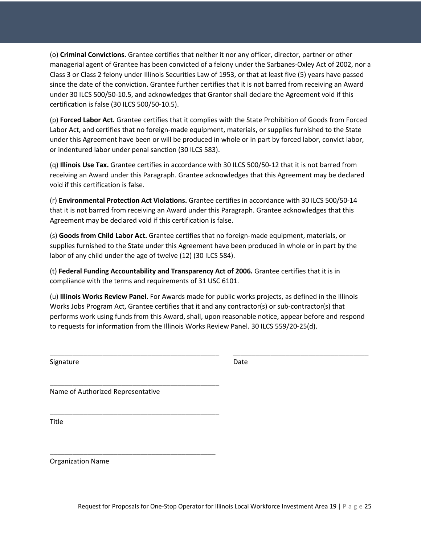(o) **Criminal Convictions.** Grantee certifies that neither it nor any officer, director, partner or other managerial agent of Grantee has been convicted of a felony under the Sarbanes-Oxley Act of 2002, nor a Class 3 or Class 2 felony under Illinois Securities Law of 1953, or that at least five (5) years have passed since the date of the conviction. Grantee further certifies that it is not barred from receiving an Award under 30 ILCS 500/50-10.5, and acknowledges that Grantor shall declare the Agreement void if this certification is false (30 ILCS 500/50-10.5).

(p) **Forced Labor Act.** Grantee certifies that it complies with the State Prohibition of Goods from Forced Labor Act, and certifies that no foreign-made equipment, materials, or supplies furnished to the State under this Agreement have been or will be produced in whole or in part by forced labor, convict labor, or indentured labor under penal sanction (30 ILCS 583).

(q) **Illinois Use Tax.** Grantee certifies in accordance with 30 ILCS 500/50-12 that it is not barred from receiving an Award under this Paragraph. Grantee acknowledges that this Agreement may be declared void if this certification is false.

(r) **Environmental Protection Act Violations.** Grantee certifies in accordance with 30 ILCS 500/50-14 that it is not barred from receiving an Award under this Paragraph. Grantee acknowledges that this Agreement may be declared void if this certification is false.

(s) **Goods from Child Labor Act.** Grantee certifies that no foreign-made equipment, materials, or supplies furnished to the State under this Agreement have been produced in whole or in part by the labor of any child under the age of twelve (12) (30 ILCS 584).

(t) **Federal Funding Accountability and Transparency Act of 2006.** Grantee certifies that it is in compliance with the terms and requirements of 31 USC 6101.

(u) **Illinois Works Review Panel**. For Awards made for public works projects, as defined in the Illinois Works Jobs Program Act, Grantee certifies that it and any contractor(s) or sub-contractor(s) that performs work using funds from this Award, shall, upon reasonable notice, appear before and respond to requests for information from the Illinois Works Review Panel. 30 ILCS 559/20-25(d).

\_\_\_\_\_\_\_\_\_\_\_\_\_\_\_\_\_\_\_\_\_\_\_\_\_\_\_\_\_\_\_\_\_\_\_\_\_\_\_\_\_\_\_\_\_ \_\_\_\_\_\_\_\_\_\_\_\_\_\_\_\_\_\_\_\_\_\_\_\_\_\_\_\_\_\_\_\_\_\_\_\_

Signature Date Date Date

Name of Authorized Representative

\_\_\_\_\_\_\_\_\_\_\_\_\_\_\_\_\_\_\_\_\_\_\_\_\_\_\_\_\_\_\_\_\_\_\_\_\_\_\_\_\_\_\_\_\_

\_\_\_\_\_\_\_\_\_\_\_\_\_\_\_\_\_\_\_\_\_\_\_\_\_\_\_\_\_\_\_\_\_\_\_\_\_\_\_\_\_\_\_\_\_

\_\_\_\_\_\_\_\_\_\_\_\_\_\_\_\_\_\_\_\_\_\_\_\_\_\_\_\_\_\_\_\_\_\_\_\_\_\_\_\_\_\_\_\_

Title

Organization Name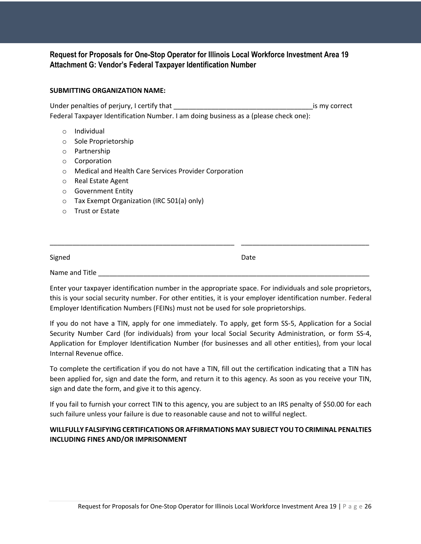#### **Request for Proposals for One-Stop Operator for Illinois Local Workforce Investment Area 19 Attachment G: Vendor's Federal Taxpayer Identification Number**

#### **SUBMITTING ORGANIZATION NAME:**

Under penalties of perjury, I certify that \_\_\_\_\_\_\_\_\_\_\_\_\_\_\_\_\_\_\_\_\_\_\_\_\_\_\_\_\_\_\_\_\_\_\_\_\_is my correct Federal Taxpayer Identification Number. I am doing business as a (please check one):

- o Individual
- o Sole Proprietorship
- o Partnership
- o Corporation
- o Medical and Health Care Services Provider Corporation
- o Real Estate Agent
- o Government Entity
- o Tax Exempt Organization (IRC 501(a) only)
- o Trust or Estate

| Signed         | Date |  |
|----------------|------|--|
| Name and Title |      |  |

\_\_\_\_\_\_\_\_\_\_\_\_\_\_\_\_\_\_\_\_\_\_\_\_\_\_\_\_\_\_\_\_\_\_\_\_\_\_\_\_\_\_\_\_\_\_\_\_\_ \_\_\_\_\_\_\_\_\_\_\_\_\_\_\_\_\_\_\_\_\_\_\_\_\_\_\_\_\_\_\_\_\_\_

Enter your taxpayer identification number in the appropriate space. For individuals and sole proprietors, this is your social security number. For other entities, it is your employer identification number. Federal Employer Identification Numbers (FEINs) must not be used for sole proprietorships.

If you do not have a TIN, apply for one immediately. To apply, get form SS-5, Application for a Social Security Number Card (for individuals) from your local Social Security Administration, or form SS-4, Application for Employer Identification Number (for businesses and all other entities), from your local Internal Revenue office.

To complete the certification if you do not have a TIN, fill out the certification indicating that a TIN has been applied for, sign and date the form, and return it to this agency. As soon as you receive your TIN, sign and date the form, and give it to this agency.

If you fail to furnish your correct TIN to this agency, you are subject to an IRS penalty of \$50.00 for each such failure unless your failure is due to reasonable cause and not to willful neglect.

#### **WILLFULLY FALSIFYING CERTIFICATIONS OR AFFIRMATIONS MAY SUBJECT YOU TO CRIMINAL PENALTIES INCLUDING FINES AND/OR IMPRISONMENT**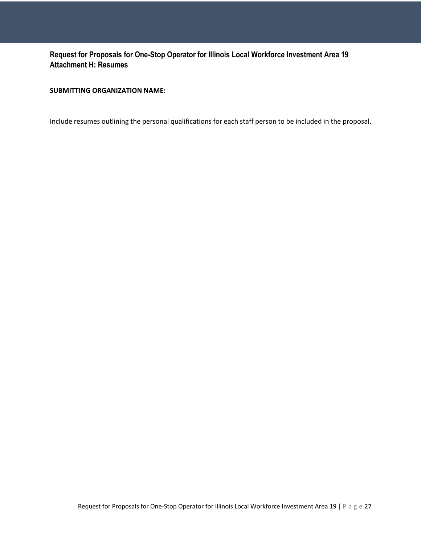#### **Request for Proposals for One-Stop Operator for Illinois Local Workforce Investment Area 19 Attachment H: Resumes**

#### **SUBMITTING ORGANIZATION NAME:**

Include resumes outlining the personal qualifications for each staff person to be included in the proposal.